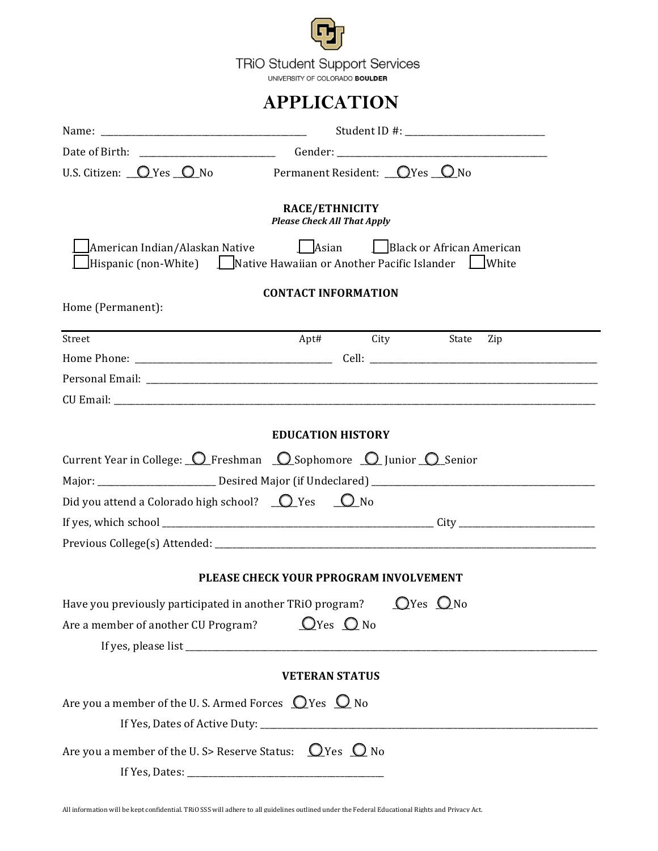

## **APPLICATION**

|                                                                            | U.S. Citizen: $Q$ Yes $Q$ No Permanent Resident: $Q$ Yes $Q$ No                                                                                     |  |  |  |  |
|----------------------------------------------------------------------------|-----------------------------------------------------------------------------------------------------------------------------------------------------|--|--|--|--|
| RACE/ETHNICITY<br><b>Please Check All That Apply</b>                       |                                                                                                                                                     |  |  |  |  |
|                                                                            | American Indian/Alaskan Native   Asian   Black or African American<br>Hispanic (non-White) Long Lative Hawaiian or Another Pacific Islander Loughte |  |  |  |  |
|                                                                            | <b>CONTACT INFORMATION</b>                                                                                                                          |  |  |  |  |
| Home (Permanent):                                                          |                                                                                                                                                     |  |  |  |  |
| Street                                                                     | City<br>Apt#<br>State<br>Zip                                                                                                                        |  |  |  |  |
|                                                                            |                                                                                                                                                     |  |  |  |  |
|                                                                            |                                                                                                                                                     |  |  |  |  |
|                                                                            |                                                                                                                                                     |  |  |  |  |
|                                                                            |                                                                                                                                                     |  |  |  |  |
|                                                                            | <b>EDUCATION HISTORY</b>                                                                                                                            |  |  |  |  |
|                                                                            | Current Year in College: $\bigcirc$ Freshman $\bigcirc$ Sophomore $\bigcirc$ Junior $\bigcirc$ Senior                                               |  |  |  |  |
|                                                                            |                                                                                                                                                     |  |  |  |  |
| Did you attend a Colorado high school? $\bigcirc$ Yes $\bigcirc$ No        |                                                                                                                                                     |  |  |  |  |
|                                                                            |                                                                                                                                                     |  |  |  |  |
|                                                                            |                                                                                                                                                     |  |  |  |  |
|                                                                            | PLEASE CHECK YOUR PPROGRAM INVOLVEMENT                                                                                                              |  |  |  |  |
|                                                                            |                                                                                                                                                     |  |  |  |  |
|                                                                            | Have you previously participated in another TRiO program? $Q$ Yes $Q$ No                                                                            |  |  |  |  |
| Are a member of another CU Program? $Q$ Yes $Q$ No                         |                                                                                                                                                     |  |  |  |  |
|                                                                            |                                                                                                                                                     |  |  |  |  |
|                                                                            | <b>VETERAN STATUS</b>                                                                                                                               |  |  |  |  |
| Are you a member of the U.S. Armed Forces $\bigcirc$ Yes $\bigcirc$ No     |                                                                                                                                                     |  |  |  |  |
|                                                                            |                                                                                                                                                     |  |  |  |  |
| Are you a member of the U.S > Reserve Status: $\bigcirc$ Yes $\bigcirc$ No |                                                                                                                                                     |  |  |  |  |
|                                                                            |                                                                                                                                                     |  |  |  |  |